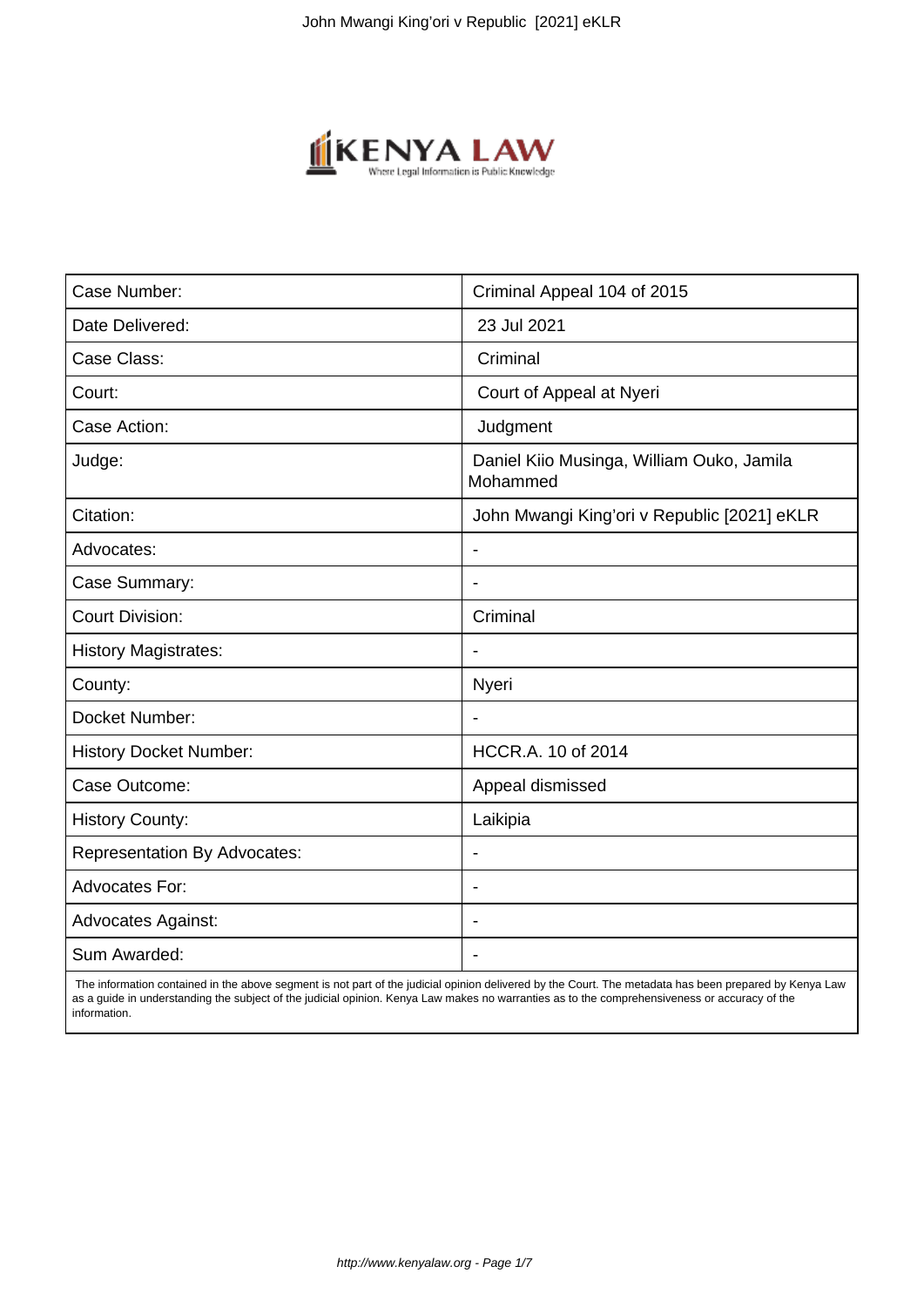

| Case Number:                        | Criminal Appeal 104 of 2015                           |
|-------------------------------------|-------------------------------------------------------|
| Date Delivered:                     | 23 Jul 2021                                           |
| Case Class:                         | Criminal                                              |
| Court:                              | Court of Appeal at Nyeri                              |
| Case Action:                        | Judgment                                              |
| Judge:                              | Daniel Kiio Musinga, William Ouko, Jamila<br>Mohammed |
| Citation:                           | John Mwangi King'ori v Republic [2021] eKLR           |
| Advocates:                          |                                                       |
| Case Summary:                       |                                                       |
| <b>Court Division:</b>              | Criminal                                              |
| <b>History Magistrates:</b>         | $\blacksquare$                                        |
| County:                             | Nyeri                                                 |
| Docket Number:                      |                                                       |
| <b>History Docket Number:</b>       | HCCR.A. 10 of 2014                                    |
| Case Outcome:                       | Appeal dismissed                                      |
| <b>History County:</b>              | Laikipia                                              |
| <b>Representation By Advocates:</b> | $\qquad \qquad \blacksquare$                          |
| <b>Advocates For:</b>               |                                                       |
| <b>Advocates Against:</b>           |                                                       |
| Sum Awarded:                        |                                                       |

 The information contained in the above segment is not part of the judicial opinion delivered by the Court. The metadata has been prepared by Kenya Law as a guide in understanding the subject of the judicial opinion. Kenya Law makes no warranties as to the comprehensiveness or accuracy of the information.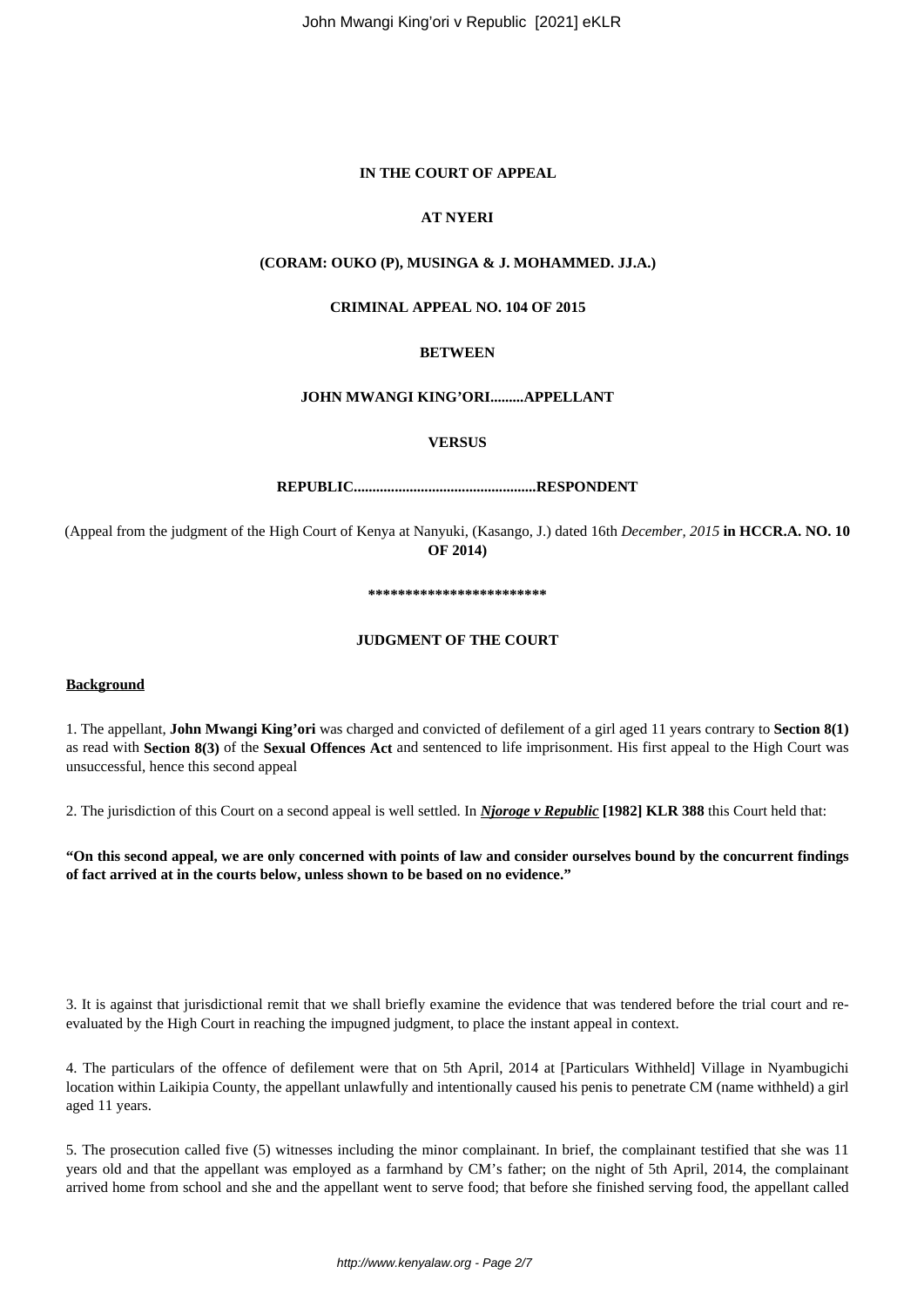John Mwangi King'ori v Republic [2021] eKLR

# **IN THE COURT OF APPEAL**

# **AT NYERI**

# **(CORAM: OUKO (P), MUSINGA & J. MOHAMMED. JJ.A.)**

### **CRIMINAL APPEAL NO. 104 OF 2015**

# **BETWEEN**

# **JOHN MWANGI KING'ORI.........APPELLANT**

#### **VERSUS**

# **REPUBLIC.................................................RESPONDENT**

(Appeal from the judgment of the High Court of Kenya at Nanyuki, (Kasango, J.) dated 16th *December, 2015* **in HCCR.A. NO. 10 OF 2014)**

#### **\*\*\*\*\*\*\*\*\*\*\*\*\*\*\*\*\*\*\*\*\*\*\*\***

#### **JUDGMENT OF THE COURT**

#### **Background**

1. The appellant, **John Mwangi King'ori** was charged and convicted of defilement of a girl aged 11 years contrary to **Section 8(1)** as read with **Section 8(3)** of the **Sexual Offences Act** and sentenced to life imprisonment. His first appeal to the High Court was unsuccessful, hence this second appeal

2. The jurisdiction of this Court on a second appeal is well settled. In *Njoroge v Republic* **[1982] KLR 388** this Court held that:

**"On this second appeal, we are only concerned with points of law and consider ourselves bound by the concurrent findings of fact arrived at in the courts below, unless shown to be based on no evidence."**

3. It is against that jurisdictional remit that we shall briefly examine the evidence that was tendered before the trial court and reevaluated by the High Court in reaching the impugned judgment, to place the instant appeal in context.

4. The particulars of the offence of defilement were that on 5th April, 2014 at [Particulars Withheld] Village in Nyambugichi location within Laikipia County, the appellant unlawfully and intentionally caused his penis to penetrate CM (name withheld) a girl aged 11 years.

5. The prosecution called five (5) witnesses including the minor complainant. In brief, the complainant testified that she was 11 years old and that the appellant was employed as a farmhand by CM's father; on the night of 5th April, 2014, the complainant arrived home from school and she and the appellant went to serve food; that before she finished serving food, the appellant called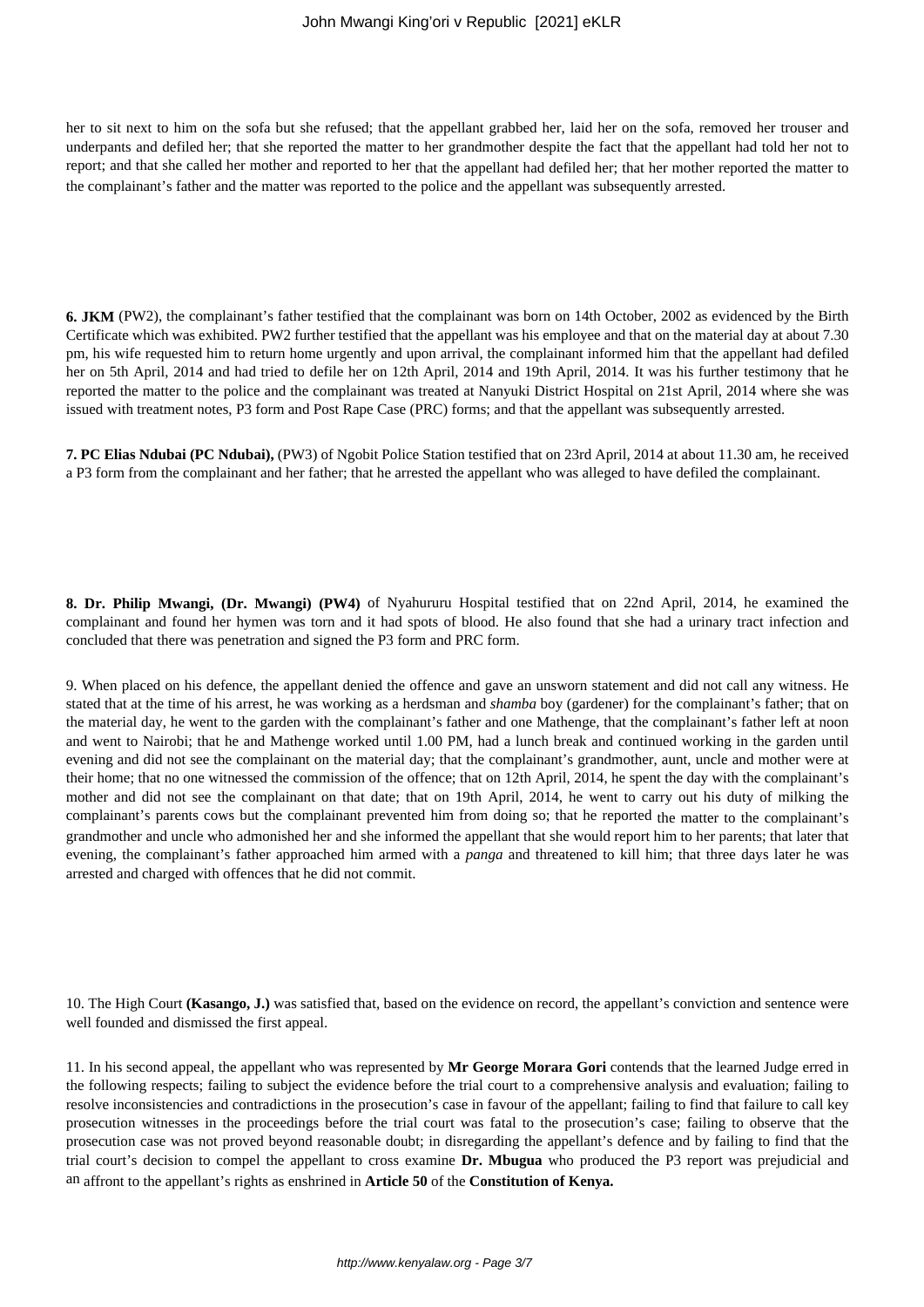her to sit next to him on the sofa but she refused; that the appellant grabbed her, laid her on the sofa, removed her trouser and underpants and defiled her; that she reported the matter to her grandmother despite the fact that the appellant had told her not to report; and that she called her mother and reported to her that the appellant had defiled her; that her mother reported the matter to the complainant's father and the matter was reported to the police and the appellant was subsequently arrested.

**6. JKM** (PW2), the complainant's father testified that the complainant was born on 14th October, 2002 as evidenced by the Birth Certificate which was exhibited. PW2 further testified that the appellant was his employee and that on the material day at about 7.30 pm, his wife requested him to return home urgently and upon arrival, the complainant informed him that the appellant had defiled her on 5th April, 2014 and had tried to defile her on 12th April, 2014 and 19th April, 2014. It was his further testimony that he reported the matter to the police and the complainant was treated at Nanyuki District Hospital on 21st April, 2014 where she was issued with treatment notes, P3 form and Post Rape Case (PRC) forms; and that the appellant was subsequently arrested.

**7. PC Elias Ndubai (PC Ndubai),** (PW3) of Ngobit Police Station testified that on 23rd April, 2014 at about 11.30 am, he received a P3 form from the complainant and her father; that he arrested the appellant who was alleged to have defiled the complainant.

**8. Dr. Philip Mwangi, (Dr. Mwangi) (PW4)** of Nyahururu Hospital testified that on 22nd April, 2014, he examined the complainant and found her hymen was torn and it had spots of blood. He also found that she had a urinary tract infection and concluded that there was penetration and signed the P3 form and PRC form.

9. When placed on his defence, the appellant denied the offence and gave an unsworn statement and did not call any witness. He stated that at the time of his arrest, he was working as a herdsman and *shamba* boy (gardener) for the complainant's father; that on the material day, he went to the garden with the complainant's father and one Mathenge, that the complainant's father left at noon and went to Nairobi; that he and Mathenge worked until 1.00 PM, had a lunch break and continued working in the garden until evening and did not see the complainant on the material day; that the complainant's grandmother, aunt, uncle and mother were at their home; that no one witnessed the commission of the offence; that on 12th April, 2014, he spent the day with the complainant's mother and did not see the complainant on that date; that on 19th April, 2014, he went to carry out his duty of milking the complainant's parents cows but the complainant prevented him from doing so; that he reported the matter to the complainant's grandmother and uncle who admonished her and she informed the appellant that she would report him to her parents; that later that evening, the complainant's father approached him armed with a *panga* and threatened to kill him; that three days later he was arrested and charged with offences that he did not commit.

10. The High Court **(Kasango, J.)** was satisfied that, based on the evidence on record, the appellant's conviction and sentence were well founded and dismissed the first appeal.

11. In his second appeal, the appellant who was represented by **Mr George Morara Gori** contends that the learned Judge erred in the following respects; failing to subject the evidence before the trial court to a comprehensive analysis and evaluation; failing to resolve inconsistencies and contradictions in the prosecution's case in favour of the appellant; failing to find that failure to call key prosecution witnesses in the proceedings before the trial court was fatal to the prosecution's case; failing to observe that the prosecution case was not proved beyond reasonable doubt; in disregarding the appellant's defence and by failing to find that the trial court's decision to compel the appellant to cross examine **Dr. Mbugua** who produced the P3 report was prejudicial and an affront to the appellant's rights as enshrined in **Article 50** of the **Constitution of Kenya.**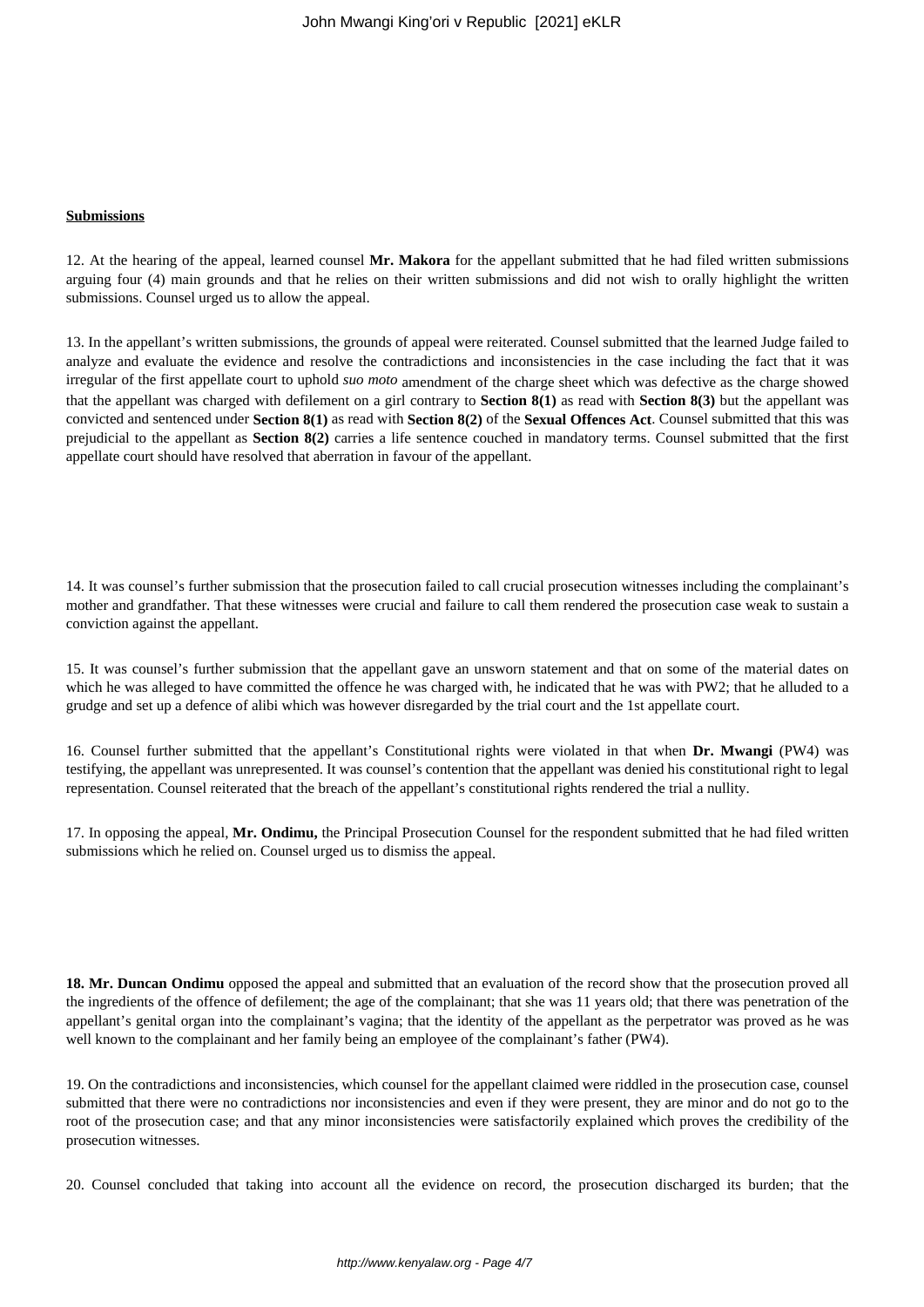# **Submissions**

12. At the hearing of the appeal, learned counsel **Mr. Makora** for the appellant submitted that he had filed written submissions arguing four (4) main grounds and that he relies on their written submissions and did not wish to orally highlight the written submissions. Counsel urged us to allow the appeal.

13. In the appellant's written submissions, the grounds of appeal were reiterated. Counsel submitted that the learned Judge failed to analyze and evaluate the evidence and resolve the contradictions and inconsistencies in the case including the fact that it was irregular of the first appellate court to uphold *suo moto* amendment of the charge sheet which was defective as the charge showed that the appellant was charged with defilement on a girl contrary to **Section 8(1)** as read with **Section 8(3)** but the appellant was convicted and sentenced under **Section 8(1)** as read with **Section 8(2)** of the **Sexual Offences Act**. Counsel submitted that this was prejudicial to the appellant as **Section 8(2)** carries a life sentence couched in mandatory terms. Counsel submitted that the first appellate court should have resolved that aberration in favour of the appellant.

14. It was counsel's further submission that the prosecution failed to call crucial prosecution witnesses including the complainant's mother and grandfather. That these witnesses were crucial and failure to call them rendered the prosecution case weak to sustain a conviction against the appellant.

15. It was counsel's further submission that the appellant gave an unsworn statement and that on some of the material dates on which he was alleged to have committed the offence he was charged with, he indicated that he was with PW2; that he alluded to a grudge and set up a defence of alibi which was however disregarded by the trial court and the 1st appellate court.

16. Counsel further submitted that the appellant's Constitutional rights were violated in that when **Dr. Mwangi** (PW4) was testifying, the appellant was unrepresented. It was counsel's contention that the appellant was denied his constitutional right to legal representation. Counsel reiterated that the breach of the appellant's constitutional rights rendered the trial a nullity.

17. In opposing the appeal, **Mr. Ondimu,** the Principal Prosecution Counsel for the respondent submitted that he had filed written submissions which he relied on. Counsel urged us to dismiss the appeal.

**18. Mr. Duncan Ondimu** opposed the appeal and submitted that an evaluation of the record show that the prosecution proved all the ingredients of the offence of defilement; the age of the complainant; that she was 11 years old; that there was penetration of the appellant's genital organ into the complainant's vagina; that the identity of the appellant as the perpetrator was proved as he was well known to the complainant and her family being an employee of the complainant's father (PW4).

19. On the contradictions and inconsistencies, which counsel for the appellant claimed were riddled in the prosecution case, counsel submitted that there were no contradictions nor inconsistencies and even if they were present, they are minor and do not go to the root of the prosecution case; and that any minor inconsistencies were satisfactorily explained which proves the credibility of the prosecution witnesses.

20. Counsel concluded that taking into account all the evidence on record, the prosecution discharged its burden; that the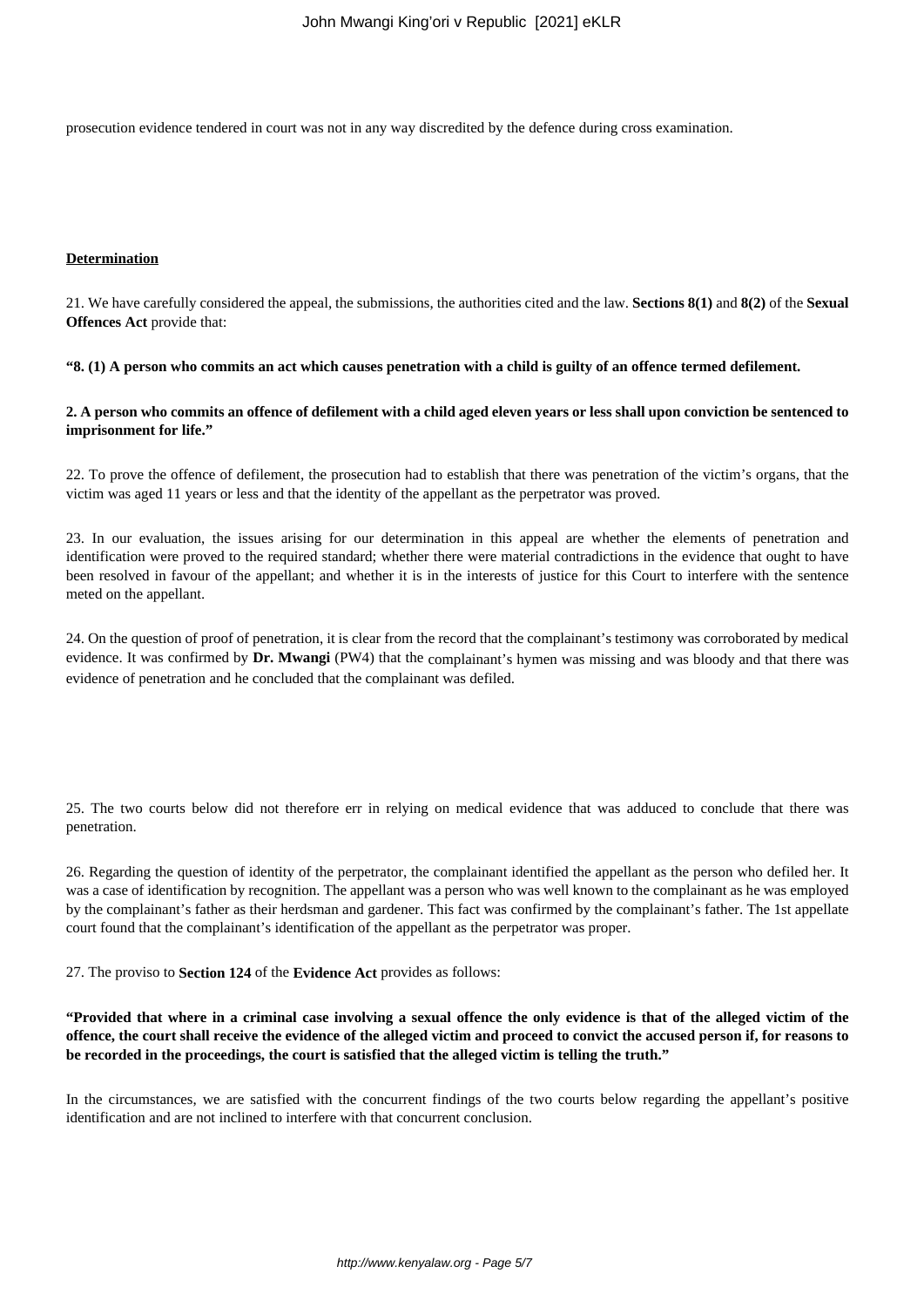prosecution evidence tendered in court was not in any way discredited by the defence during cross examination.

#### **Determination**

21. We have carefully considered the appeal, the submissions, the authorities cited and the law. **Sections 8(1)** and **8(2)** of the **Sexual Offences Act** provide that:

**"8. (1) A person who commits an act which causes penetration with a child is guilty of an offence termed defilement.**

# **2. A person who commits an offence of defilement with a child aged eleven years or less shall upon conviction be sentenced to imprisonment for life."**

22. To prove the offence of defilement, the prosecution had to establish that there was penetration of the victim's organs, that the victim was aged 11 years or less and that the identity of the appellant as the perpetrator was proved.

23. In our evaluation, the issues arising for our determination in this appeal are whether the elements of penetration and identification were proved to the required standard; whether there were material contradictions in the evidence that ought to have been resolved in favour of the appellant; and whether it is in the interests of justice for this Court to interfere with the sentence meted on the appellant.

24. On the question of proof of penetration, it is clear from the record that the complainant's testimony was corroborated by medical evidence. It was confirmed by **Dr. Mwangi** (PW4) that the complainant's hymen was missing and was bloody and that there was evidence of penetration and he concluded that the complainant was defiled.

25. The two courts below did not therefore err in relying on medical evidence that was adduced to conclude that there was penetration.

26. Regarding the question of identity of the perpetrator, the complainant identified the appellant as the person who defiled her. It was a case of identification by recognition. The appellant was a person who was well known to the complainant as he was employed by the complainant's father as their herdsman and gardener. This fact was confirmed by the complainant's father. The 1st appellate court found that the complainant's identification of the appellant as the perpetrator was proper.

27. The proviso to **Section 124** of the **Evidence Act** provides as follows:

**"Provided that where in a criminal case involving a sexual offence the only evidence is that of the alleged victim of the offence, the court shall receive the evidence of the alleged victim and proceed to convict the accused person if, for reasons to be recorded in the proceedings, the court is satisfied that the alleged victim is telling the truth."**

In the circumstances, we are satisfied with the concurrent findings of the two courts below regarding the appellant's positive identification and are not inclined to interfere with that concurrent conclusion.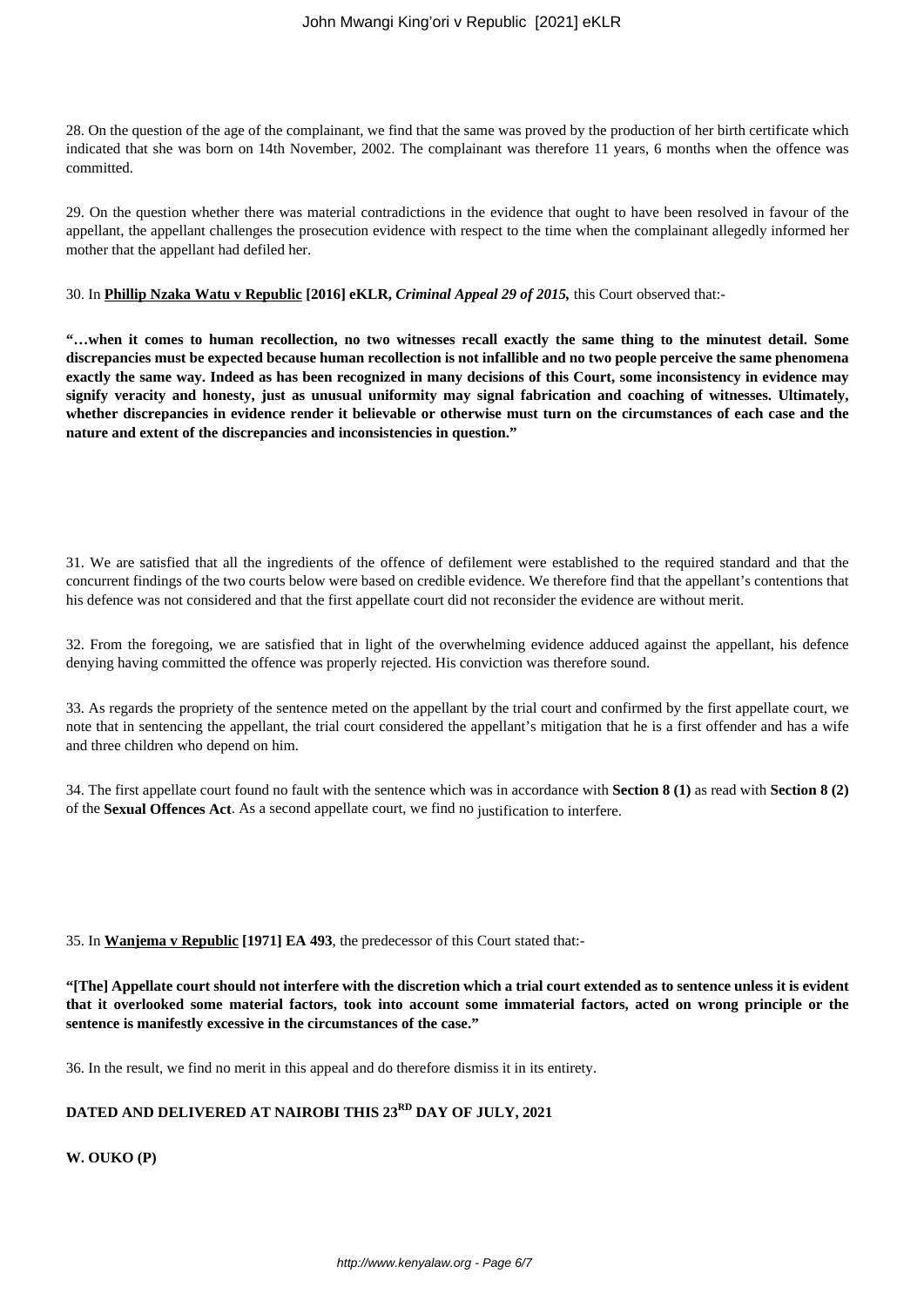28. On the question of the age of the complainant, we find that the same was proved by the production of her birth certificate which indicated that she was born on 14th November, 2002. The complainant was therefore 11 years, 6 months when the offence was committed.

29. On the question whether there was material contradictions in the evidence that ought to have been resolved in favour of the appellant, the appellant challenges the prosecution evidence with respect to the time when the complainant allegedly informed her mother that the appellant had defiled her.

30. In **Phillip Nzaka Watu v Republic [2016] eKLR,** *Criminal Appeal 29 of 2015,* this Court observed that:-

**"…when it comes to human recollection, no two witnesses recall exactly the same thing to the minutest detail. Some discrepancies must be expected because human recollection is not infallible and no two people perceive the same phenomena exactly the same way. Indeed as has been recognized in many decisions of this Court, some inconsistency in evidence may signify veracity and honesty, just as unusual uniformity may signal fabrication and coaching of witnesses. Ultimately, whether discrepancies in evidence render it believable or otherwise must turn on the circumstances of each case and the nature and extent of the discrepancies and inconsistencies in question."**

31. We are satisfied that all the ingredients of the offence of defilement were established to the required standard and that the concurrent findings of the two courts below were based on credible evidence. We therefore find that the appellant's contentions that his defence was not considered and that the first appellate court did not reconsider the evidence are without merit.

32. From the foregoing, we are satisfied that in light of the overwhelming evidence adduced against the appellant, his defence denying having committed the offence was properly rejected. His conviction was therefore sound.

33. As regards the propriety of the sentence meted on the appellant by the trial court and confirmed by the first appellate court, we note that in sentencing the appellant, the trial court considered the appellant's mitigation that he is a first offender and has a wife and three children who depend on him.

34. The first appellate court found no fault with the sentence which was in accordance with **Section 8 (1)** as read with **Section 8 (2)** of the **Sexual Offences Act**. As a second appellate court, we find no justification to interfere.

35. In **Wanjema v Republic [1971] EA 493**, the predecessor of this Court stated that:-

**"[The] Appellate court should not interfere with the discretion which a trial court extended as to sentence unless it is evident that it overlooked some material factors, took into account some immaterial factors, acted on wrong principle or the sentence is manifestly excessive in the circumstances of the case."**

36. In the result, we find no merit in this appeal and do therefore dismiss it in its entirety.

# **DATED AND DELIVERED AT NAIROBI THIS 23RD DAY OF JULY, 2021**

**W. OUKO (P)**